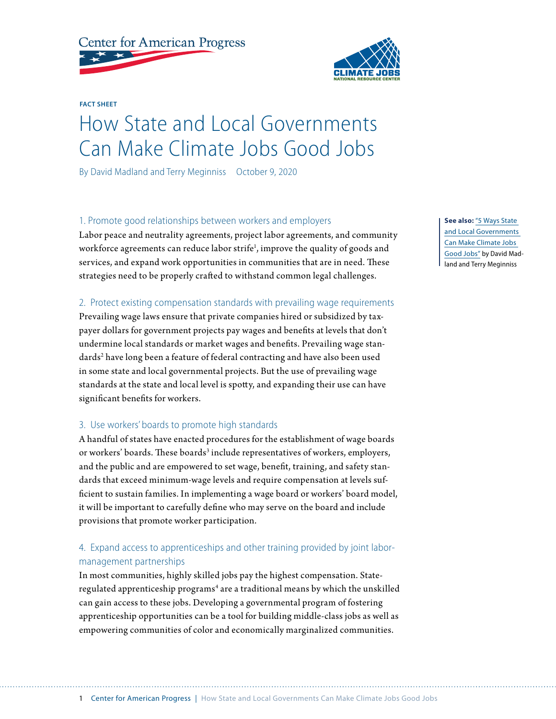

**FACT SHEET**

# How State and Local Governments Can Make Climate Jobs Good Jobs

By David Madland and Terry Meginniss October 9, 2020

# 1. Promote good relationships between workers and employers

Labor peace and neutrality agreements, project labor agreements, and community workforce agreements can reduce labor strife<sup>1</sup>, improve the quality of goods and services, and expand work opportunities in communities that are in need. These strategies need to be properly crafted to withstand common legal challenges.

# 2. Protect existing compensation standards with prevailing wage requirements

Prevailing wage laws ensure that private companies hired or subsidized by taxpayer dollars for government projects pay wages and benefits at levels that don't undermine local standards or market wages and benefits. Prevailing wage standards<sup>2</sup> have long been a feature of federal contracting and have also been used in some state and local governmental projects. But the use of prevailing wage standards at the state and local level is spotty, and expanding their use can have significant benefits for workers.

# 3. Use workers' boards to promote high standards

A handful of states have enacted procedures for the establishment of wage boards or workers' boards. These boards<sup>3</sup> include representatives of workers, employers, and the public and are empowered to set wage, benefit, training, and safety standards that exceed minimum-wage levels and require compensation at levels sufficient to sustain families. In implementing a wage board or workers' board model, it will be important to carefully define who may serve on the board and include provisions that promote worker participation.

# 4. Expand access to apprenticeships and other training provided by joint labormanagement partnerships

In most communities, highly skilled jobs pay the highest compensation. Stateregulated apprenticeship programs<sup>4</sup> are a traditional means by which the unskilled can gain access to these jobs. Developing a governmental program of fostering apprenticeship opportunities can be a tool for building middle-class jobs as well as empowering communities of color and economically marginalized communities.

**See also:** "[5 Ways State](https://www.americanprogress.org/?p=491226)  [and Local Governments](https://www.americanprogress.org/?p=491226)  [Can Make Climate Jobs](https://www.americanprogress.org/?p=491226)  [Good Jobs](https://www.americanprogress.org/?p=491226)" by David Madland and Terry Meginniss